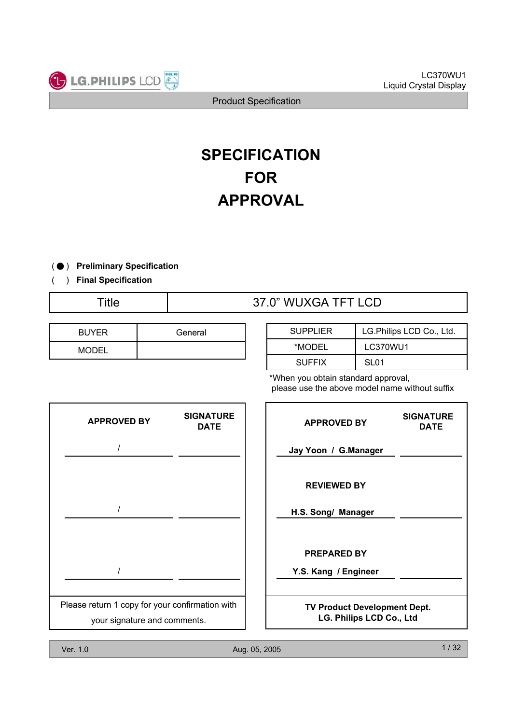

# **FOR APPROVAL SPECIFICATION**

) ( ̻ **Preliminary Specification**

) **Final Specification** (

# Title  $\overline{37.0}$ " WUXGA TFT LCD

| <b>BUYER</b> | General |
|--------------|---------|
| MODEL        |         |

| <b>SUPPLIER</b> | LG.Philips LCD Co., Ltd. |
|-----------------|--------------------------|
| *MODEL          | <b>LC370WU1</b>          |
| <b>SUFFIX</b>   | SL <sub>01</sub>         |

\*When you obtain standard approval, please use the above model name without suffix

| <b>SIGNATURE</b><br><b>DATE</b>                                                 | <b>APPROVED BY</b>                         | <b>SIGNATURE</b><br><b>DATE</b>                                 |
|---------------------------------------------------------------------------------|--------------------------------------------|-----------------------------------------------------------------|
|                                                                                 | Jay Yoon / G.Manager                       |                                                                 |
|                                                                                 | <b>REVIEWED BY</b>                         |                                                                 |
|                                                                                 | H.S. Song/ Manager                         |                                                                 |
|                                                                                 | <b>PREPARED BY</b><br>Y.S. Kang / Engineer |                                                                 |
|                                                                                 |                                            |                                                                 |
| Please return 1 copy for your confirmation with<br>your signature and comments. |                                            |                                                                 |
|                                                                                 |                                            | <b>TV Product Development Dept.</b><br>LG. Philips LCD Co., Ltd |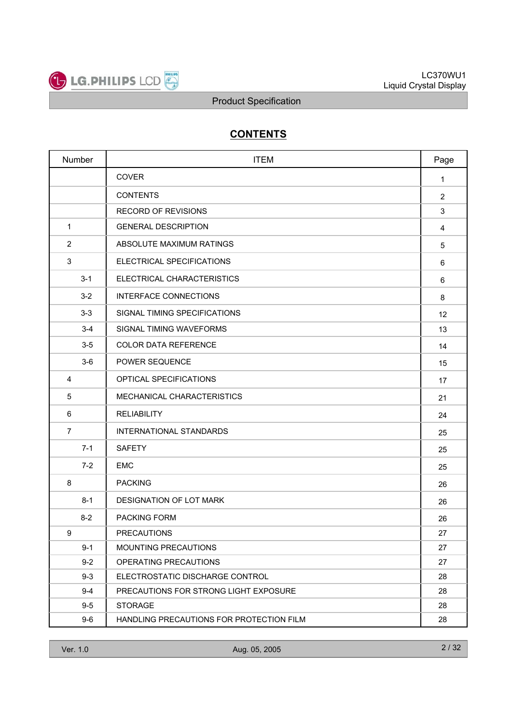

# **CONTENTS**

|                | Number  | <b>ITEM</b>                              | Page         |
|----------------|---------|------------------------------------------|--------------|
|                |         | <b>COVER</b>                             | $\mathbf{1}$ |
|                |         | <b>CONTENTS</b>                          | 2            |
|                |         | <b>RECORD OF REVISIONS</b>               | 3            |
| 1              |         | <b>GENERAL DESCRIPTION</b>               | 4            |
| 2              |         | ABSOLUTE MAXIMUM RATINGS                 | 5            |
| 3              |         | ELECTRICAL SPECIFICATIONS                | 6            |
|                | $3 - 1$ | ELECTRICAL CHARACTERISTICS               | 6            |
|                | $3 - 2$ | <b>INTERFACE CONNECTIONS</b>             | 8            |
|                | $3 - 3$ | SIGNAL TIMING SPECIFICATIONS             | 12           |
|                | $3 - 4$ | SIGNAL TIMING WAVEFORMS                  | 13           |
|                | $3-5$   | <b>COLOR DATA REFERENCE</b>              | 14           |
|                | $3-6$   | POWER SEQUENCE                           | 15           |
| $\overline{4}$ |         | OPTICAL SPECIFICATIONS                   | 17           |
| 5              |         | MECHANICAL CHARACTERISTICS               | 21           |
| 6              |         | <b>RELIABILITY</b>                       | 24           |
| $\overline{7}$ |         | <b>INTERNATIONAL STANDARDS</b>           | 25           |
|                | $7 - 1$ | <b>SAFETY</b>                            | 25           |
|                | $7 - 2$ | <b>EMC</b>                               | 25           |
| 8              |         | <b>PACKING</b>                           | 26           |
|                | $8 - 1$ | DESIGNATION OF LOT MARK                  | 26           |
|                | $8 - 2$ | <b>PACKING FORM</b>                      | 26           |
| 9              |         | <b>PRECAUTIONS</b>                       | 27           |
|                | $9 - 1$ | <b>MOUNTING PRECAUTIONS</b>              | 27           |
|                | $9-2$   | OPERATING PRECAUTIONS                    | 27           |
|                | $9 - 3$ | ELECTROSTATIC DISCHARGE CONTROL          | 28           |
|                | $9 - 4$ | PRECAUTIONS FOR STRONG LIGHT EXPOSURE    | 28           |
|                | $9-5$   | <b>STORAGE</b>                           | 28           |
|                | $9-6$   | HANDLING PRECAUTIONS FOR PROTECTION FILM | 28           |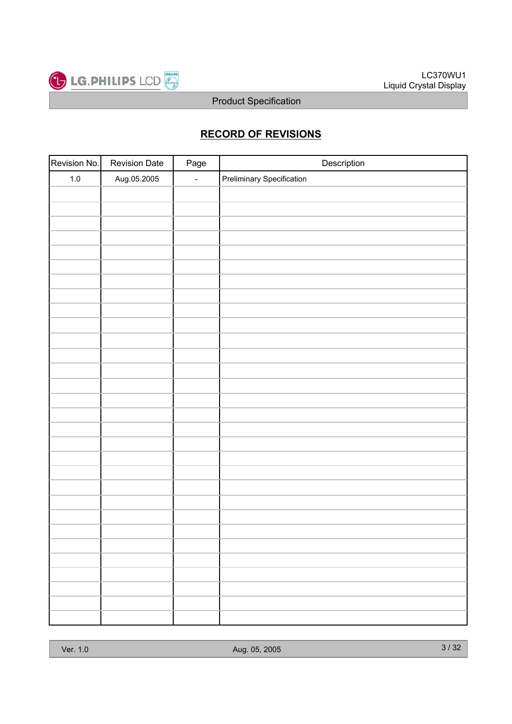

# **RECORD OF REVISIONS**

| Revision No. | <b>Revision Date</b> | Page   | Description                      |
|--------------|----------------------|--------|----------------------------------|
| $1.0\,$      | Aug.05.2005          | $\Box$ | <b>Preliminary Specification</b> |
|              |                      |        |                                  |
|              |                      |        |                                  |
|              |                      |        |                                  |
|              |                      |        |                                  |
|              |                      |        |                                  |
|              |                      |        |                                  |
|              |                      |        |                                  |
|              |                      |        |                                  |
|              |                      |        |                                  |
|              |                      |        |                                  |
|              |                      |        |                                  |
|              |                      |        |                                  |
|              |                      |        |                                  |
|              |                      |        |                                  |
|              |                      |        |                                  |
|              |                      |        |                                  |
|              |                      |        |                                  |
|              |                      |        |                                  |
|              |                      |        |                                  |
|              |                      |        |                                  |
|              |                      |        |                                  |
|              |                      |        |                                  |
|              |                      |        |                                  |
|              |                      |        |                                  |
|              |                      |        |                                  |
|              |                      |        |                                  |
|              |                      |        |                                  |
|              |                      |        |                                  |
|              |                      |        |                                  |
|              |                      |        |                                  |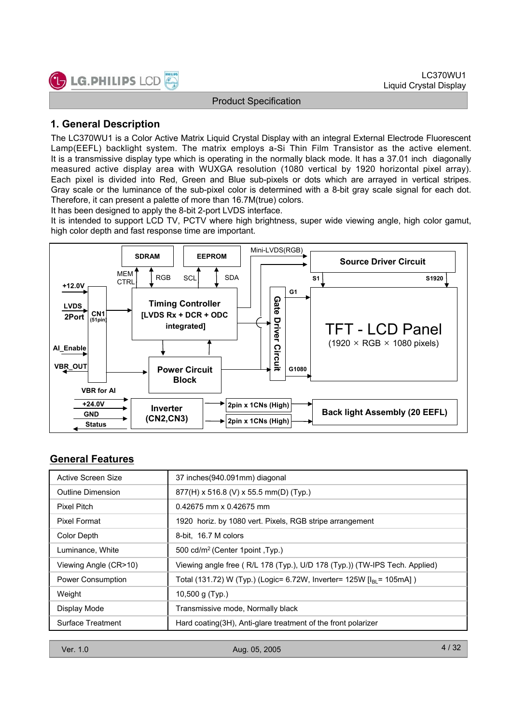

# **1. General Description**

The LC370WU1 is a Color Active Matrix Liquid Crystal Display with an integral External Electrode Fluorescent Lamp(EEFL) backlight system. The matrix employs a-Si Thin Film Transistor as the active element. It is a transmissive display type which is operating in the normally black mode. It has a 37.01 inch diagonally measured active display area with WUXGA resolution (1080 vertical by 1920 horizontal pixel array). Each pixel is divided into Red, Green and Blue sub-pixels or dots which are arrayed in vertical stripes. Gray scale or the luminance of the sub-pixel color is determined with a 8-bit gray scale signal for each dot. Therefore, it can present a palette of more than 16.7M(true) colors.

It has been designed to apply the 8-bit 2-port LVDS interface.

It is intended to support LCD TV, PCTV where high brightness, super wide viewing angle, high color gamut, high color depth and fast response time are important.



# **General Features**

| Active Screen Size    | 37 inches (940.091mm) diagonal                                                   |
|-----------------------|----------------------------------------------------------------------------------|
| Outline Dimension     | 877(H) x 516.8 (V) x 55.5 mm(D) (Typ.)                                           |
| Pixel Pitch           | $0.42675$ mm x 0.42675 mm                                                        |
| Pixel Format          | 1920 horiz. by 1080 vert. Pixels, RGB stripe arrangement                         |
| Color Depth           | 8-bit, 16.7 M colors                                                             |
| Luminance, White      | 500 cd/m <sup>2</sup> (Center 1point, Typ.)                                      |
| Viewing Angle (CR>10) | Viewing angle free (R/L 178 (Typ.), U/D 178 (Typ.)) (TW-IPS Tech. Applied)       |
| Power Consumption     | Total (131.72) W (Typ.) (Logic= 6.72W, Inverter= 125W [I <sub>BI</sub> = 105mA]) |
| Weight                | 10,500 g $(Typ.)$                                                                |
| Display Mode          | Transmissive mode, Normally black                                                |
| Surface Treatment     | Hard coating (3H), Anti-glare treatment of the front polarizer                   |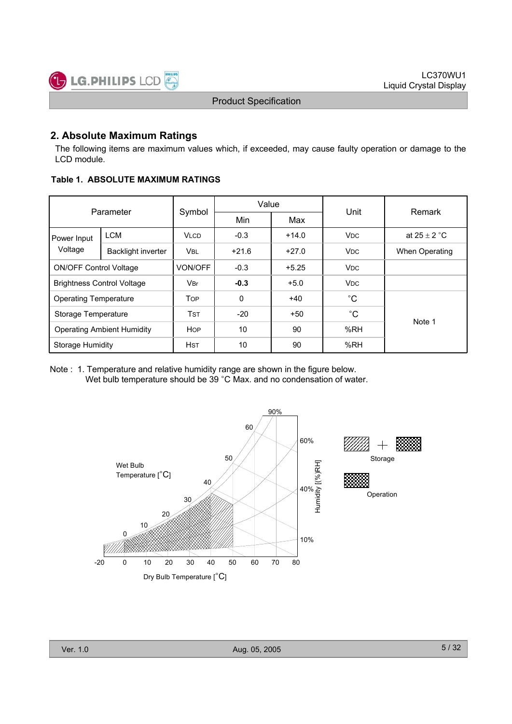# **2. Absolute Maximum Ratings**

The following items are maximum values which, if exceeded, may cause faulty operation or damage to the LCD module.

**Table 1. ABSOLUTE MAXIMUM RATINGS**

|                                   | Parameter  |                | Value   |         |                       | Remark           |  |
|-----------------------------------|------------|----------------|---------|---------|-----------------------|------------------|--|
|                                   |            | Symbol         | Min     | Max     | Unit                  |                  |  |
| Power Input                       | <b>LCM</b> | <b>VLCD</b>    | $-0.3$  | $+14.0$ | <b>V<sub>DC</sub></b> | at $25 \pm 2$ °C |  |
| Voltage<br>Backlight inverter     |            | <b>VBL</b>     | $+21.6$ | $+27.0$ | <b>V<sub>DC</sub></b> | When Operating   |  |
| <b>ON/OFF Control Voltage</b>     |            | <b>VON/OFF</b> | $-0.3$  | $+5.25$ | <b>V<sub>DC</sub></b> |                  |  |
| <b>Brightness Control Voltage</b> |            | <b>VBr</b>     | $-0.3$  | $+5.0$  | <b>V<sub>DC</sub></b> |                  |  |
| <b>Operating Temperature</b>      |            | <b>TOP</b>     | 0       | $+40$   | $^{\circ}C$           |                  |  |
| Storage Temperature               |            | <b>TST</b>     | $-20$   | $+50$   | $^{\circ}C$           | Note 1           |  |
| <b>Operating Ambient Humidity</b> |            | <b>HOP</b>     | 10      | 90      | %RH                   |                  |  |
| Storage Humidity                  |            | <b>HST</b>     | 10      | 90      | %RH                   |                  |  |

Note : 1. Temperature and relative humidity range are shown in the figure below. Wet bulb temperature should be 39 °C Max. and no condensation of water.

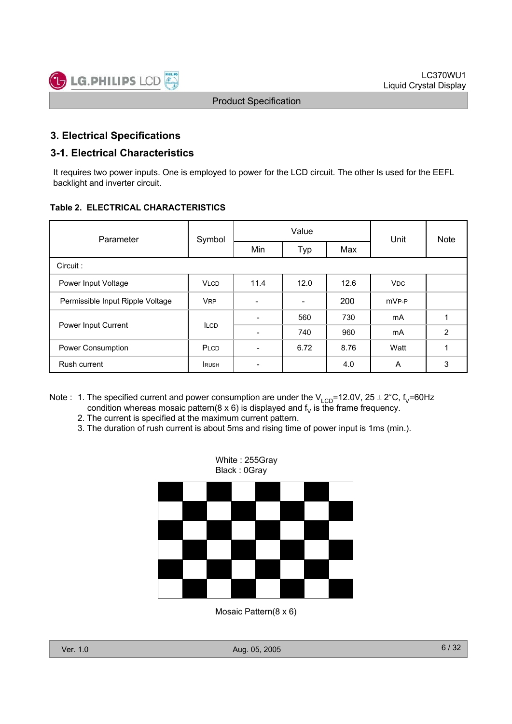# **3. Electrical Specifications**

### **3-1. Electrical Characteristics**

It requires two power inputs. One is employed to power for the LCD circuit. The other Is used for the EEFL backlight and inverter circuit.

#### **Table 2. ELECTRICAL CHARACTERISTICS**

| Parameter                        | Symbol                |                          | Value                    | Unit | <b>Note</b>       |                |
|----------------------------------|-----------------------|--------------------------|--------------------------|------|-------------------|----------------|
|                                  |                       | Min                      | Typ                      | Max  |                   |                |
| Circuit:                         |                       |                          |                          |      |                   |                |
| Power Input Voltage              | <b>VLCD</b>           | 11.4                     | 12.0                     | 12.6 | <b>VDC</b>        |                |
| Permissible Input Ripple Voltage | <b>V<sub>RP</sub></b> |                          | $\overline{\phantom{a}}$ | 200  | mV <sub>P-P</sub> |                |
|                                  | <b>ILCD</b>           | $\overline{\phantom{0}}$ | 560                      | 730  | mA                |                |
| Power Input Current              |                       |                          | 740                      | 960  | mA                | $\overline{2}$ |
| Power Consumption                | PLCD                  | ۰                        | 6.72                     | 8.76 | Watt              |                |
| Rush current                     | <b>RUSH</b>           | $\overline{\phantom{0}}$ |                          | 4.0  | A                 | 3              |

- Note : 1. The specified current and power consumption are under the  $V_{LCD}$ =12.0V, 25 ± 2°C, f<sub>V</sub>=60Hz condition whereas mosaic pattern(8 x 6) is displayed and  $f<sub>V</sub>$  is the frame frequency.
	- 2. The current is specified at the maximum current pattern.
	- 3. The duration of rush current is about 5ms and rising time of power input is 1ms (min.).



Mosaic Pattern(8 x 6)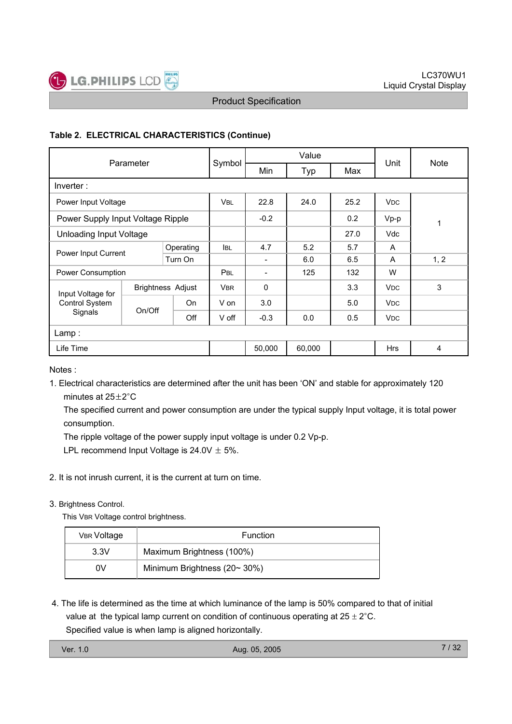

### **Table 2. ELECTRICAL CHARACTERISTICS (Continue)**

| Parameter                                     |        |            |            | Value                    | Unit   | <b>Note</b> |                       |      |
|-----------------------------------------------|--------|------------|------------|--------------------------|--------|-------------|-----------------------|------|
|                                               |        | Symbol     | Min        | Typ                      | Max    |             |                       |      |
| Inverter:                                     |        |            |            |                          |        |             |                       |      |
| Power Input Voltage                           |        |            | <b>VBL</b> | 22.8                     | 24.0   |             | <b>V<sub>DC</sub></b> |      |
| Power Supply Input Voltage Ripple             |        |            | $-0.2$     |                          | 0.2    | $Vp-p$      | 1                     |      |
| <b>Unloading Input Voltage</b>                |        |            |            |                          | 27.0   | <b>Vdc</b>  |                       |      |
| Operating                                     |        | <b>IBL</b> | 4.7        | 5.2                      | 5.7    | A           |                       |      |
| Power Input Current                           |        | Turn On    |            | $\overline{\phantom{a}}$ | 6.0    | 6.5         | A                     | 1, 2 |
| Power Consumption                             |        |            | PBL        | $\overline{\phantom{a}}$ | 125    | 132         | W                     |      |
| <b>Brightness Adjust</b><br>Input Voltage for |        |            | <b>VBR</b> | $\mathbf 0$              |        | 3.3         | <b>V<sub>DC</sub></b> | 3    |
| Control System                                | On/Off | <b>On</b>  | V on       | 3.0                      |        | 5.0         | <b>V<sub>DC</sub></b> |      |
| Signals                                       |        | Off        | V off      | $-0.3$                   | 0.0    | 0.5         | <b>VDC</b>            |      |
| Lamp :                                        |        |            |            |                          |        |             |                       |      |
| Life Time                                     |        |            |            | 50,000                   | 60,000 |             | <b>Hrs</b>            | 4    |

Notes :

1. Electrical characteristics are determined after the unit has been 'ON' and stable for approximately 120 minutes at  $25+2$ °C

The specified current and power consumption are under the typical supply Input voltage, it is total power consumption.

The ripple voltage of the power supply input voltage is under 0.2 Vp-p.

LPL recommend Input Voltage is  $24.0V \pm 5\%$ .

2. It is not inrush current, it is the current at turn on time.

#### 3. Brightness Control.

This VBR Voltage control brightness.

| <b>VBR Voltage</b> | <b>Function</b>                     |  |  |  |
|--------------------|-------------------------------------|--|--|--|
| 3.3V               | Maximum Brightness (100%)           |  |  |  |
| ٥V                 | Minimum Brightness $(20 \sim 30\%)$ |  |  |  |

4. The life is determined as the time at which luminance of the lamp is 50% compared to that of initial value at the typical lamp current on condition of continuous operating at  $25 \pm 2^{\circ}$ C. Specified value is when lamp is aligned horizontally.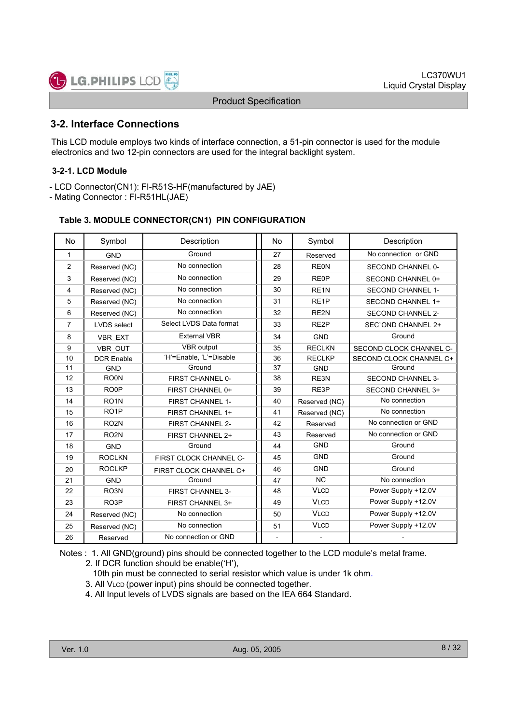# **3-2. Interface Connections**

**LG.PHILIPS LCD** 

This LCD module employs two kinds of interface connection, a 51-pin connector is used for the module electronics and two 12-pin connectors are used for the integral backlight system.

#### **3-2-1. LCD Module**

- LCD Connector(CN1): FI-R51S-HF(manufactured by JAE)

- Mating Connector : FI-R51HL(JAE)

#### **Table 3. MODULE CONNECTOR(CN1) PIN CONFIGURATION**

| No.            | Symbol             | Description             | <b>No</b> | Symbol            | Description              |
|----------------|--------------------|-------------------------|-----------|-------------------|--------------------------|
| $\mathbf{1}$   | <b>GND</b>         | Ground                  | 27        | Reserved          | No connection or GND     |
| 2              | Reserved (NC)      | No connection           | 28        | <b>RE0N</b>       | SECOND CHANNEL 0-        |
| 3              | Reserved (NC)      | No connection           | 29        | <b>RE0P</b>       | SECOND CHANNEL 0+        |
| $\overline{4}$ | Reserved (NC)      | No connection           | 30        | RE <sub>1N</sub>  | <b>SECOND CHANNEL 1-</b> |
| 5              | Reserved (NC)      | No connection           | 31        | RE <sub>1</sub> P | <b>SECOND CHANNEL 1+</b> |
| 6              | Reserved (NC)      | No connection           | 32        | RE <sub>2N</sub>  | <b>SECOND CHANNEL 2-</b> |
| 7              | <b>LVDS</b> select | Select LVDS Data format | 33        | RE <sub>2</sub> P | SEC'OND CHANNEL 2+       |
| 8              | <b>VBR EXT</b>     | <b>External VBR</b>     | 34        | <b>GND</b>        | Ground                   |
| 9              | VBR OUT            | <b>VBR</b> output       | 35        | <b>RECLKN</b>     | SECOND CLOCK CHANNEL C-  |
| 10             | <b>DCR Enable</b>  | 'H'=Enable, 'L'=Disable | 36        | <b>RECLKP</b>     | SECOND CLOCK CHANNEL C+  |
| 11             | <b>GND</b>         | Ground                  | 37        | <b>GND</b>        | Ground                   |
| 12             | RO <sub>0</sub> N  | FIRST CHANNEL 0-        | 38        | RE3N              | <b>SECOND CHANNEL 3-</b> |
| 13             | RO <sub>OP</sub>   | FIRST CHANNEL 0+        | 39        | RE3P              | <b>SECOND CHANNEL 3+</b> |
| 14             | RO <sub>1</sub> N  | <b>FIRST CHANNEL 1-</b> | 40        | Reserved (NC)     | No connection            |
| 15             | RO <sub>1</sub> P  | FIRST CHANNEL 1+        | 41        | Reserved (NC)     | No connection            |
| 16             | RO <sub>2N</sub>   | FIRST CHANNEL 2-        | 42        | Reserved          | No connection or GND     |
| 17             | RO <sub>2N</sub>   | FIRST CHANNEL 2+        | 43        | Reserved          | No connection or GND     |
| 18             | <b>GND</b>         | Ground                  | 44        | <b>GND</b>        | Ground                   |
| 19             | <b>ROCLKN</b>      | FIRST CLOCK CHANNEL C-  | 45        | <b>GND</b>        | Ground                   |
| 20             | <b>ROCLKP</b>      | FIRST CLOCK CHANNEL C+  | 46        | <b>GND</b>        | Ground                   |
| 21             | <b>GND</b>         | Ground                  | 47        | NC                | No connection            |
| 22             | RO <sub>3</sub> N  | <b>FIRST CHANNEL 3-</b> | 48        | <b>VLCD</b>       | Power Supply +12.0V      |
| 23             | RO <sub>3</sub> P  | FIRST CHANNEL 3+        | 49        | <b>VLCD</b>       | Power Supply +12.0V      |
| 24             | Reserved (NC)      | No connection           | 50        | <b>VLCD</b>       | Power Supply +12.0V      |
| 25             | Reserved (NC)      | No connection           | 51        | <b>VLCD</b>       | Power Supply +12.0V      |
| 26             | Reserved           | No connection or GND    |           |                   |                          |

Notes : 1. All GND(ground) pins should be connected together to the LCD module's metal frame.

2. If DCR function should be enable('H'),

10th pin must be connected to serial resistor which value is under 1k ohm.

- 3. All VLCD (power input) pins should be connected together.
- 4. All Input levels of LVDS signals are based on the IEA 664 Standard.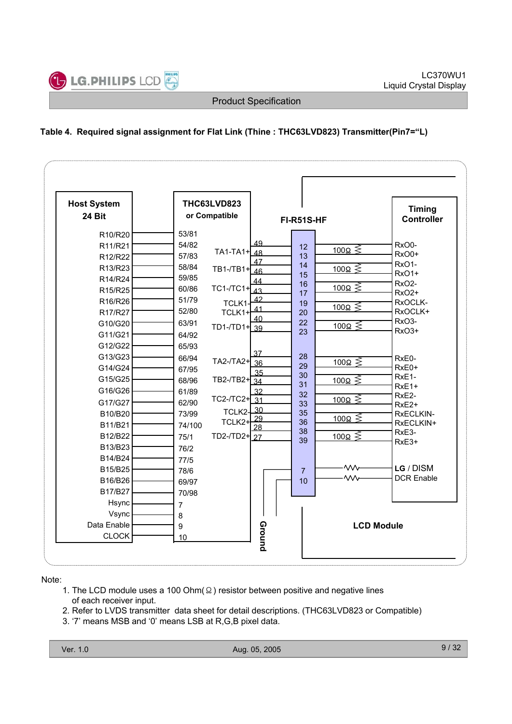

# **Table 4. Required signal assignment for Flat Link (Thine : THC63LVD823) Transmitter(Pin7="L)**

| <b>Host System</b><br>24 Bit                                                                                                                                                                                                                              | THC63LVD823<br>or Compatible                                                                                                                                                                                                                                                                                                                                                                                                         | FI-R51S-HF                                                                                                                                                                                                                                                                                                                                                                                                                                                          | <b>Timing</b><br><b>Controller</b>                                                                                                                                                                                                                                                                               |
|-----------------------------------------------------------------------------------------------------------------------------------------------------------------------------------------------------------------------------------------------------------|--------------------------------------------------------------------------------------------------------------------------------------------------------------------------------------------------------------------------------------------------------------------------------------------------------------------------------------------------------------------------------------------------------------------------------------|---------------------------------------------------------------------------------------------------------------------------------------------------------------------------------------------------------------------------------------------------------------------------------------------------------------------------------------------------------------------------------------------------------------------------------------------------------------------|------------------------------------------------------------------------------------------------------------------------------------------------------------------------------------------------------------------------------------------------------------------------------------------------------------------|
| R10/R20<br>R11/R21<br>R12/R22<br>R13/R23<br>R14/R24<br>R15/R25<br>R16/R26<br>R17/R27<br>G10/G20<br>G11/G21<br>G12/G22<br>G13/G23<br>G14/G24<br>G15/G25<br>G16/G26<br>G17/G27<br>B10/B20<br>B11/B21<br>B12/B22<br>B13/B23<br>B14/B24<br>B15/B25<br>B16/B26 | 53/81<br>54/82<br>TA1-TA1+ <sup>1</sup> 48<br>57/83<br>58/84<br>TB1-/TB1+ 46<br>59/85<br>TC1-/TC1+ $\frac{1}{43}$<br>60/86<br>51/79<br><b>TCLK1</b><br>52/80<br>TCLK1+<br>63/91<br>TD1-/TD1+ 39<br>64/92<br>65/93<br>66/94<br>TA2-/TA2+ 36<br>67/95<br>TB2-/TB2+ $\overline{34}$<br>68/96<br>61/89<br>TC2-/TC2+ $\boxed{31}$<br>62/90<br>TCLK2-<br>73/99<br>TCLK2+<br>74/100<br>TD2-/TD2+27<br>75/1<br>76/2<br>77/5<br>78/6<br>69/97 | 49<br>12<br>$\frac{100\Omega}{5}$<br>13<br>47<br>14<br><u>100Ω</u> ≶<br>15<br>44<br>16<br>100 $\Omega \lessgtr$<br>17<br>42<br>19<br>$\frac{100\Omega}{5}$<br>41<br>20<br>40<br>22<br>$\frac{100\Omega}{5}$<br>23<br>37<br>28<br>$100\Omega \leq$<br>29<br>35<br>30<br><u>100Ω ≶</u><br>31<br>32<br>32<br>$\frac{100\Omega}{5}$<br>33<br>30<br>35<br>$\frac{100\Omega}{5}$<br>29<br>36<br>28<br>38<br><u>100Ω</u> ≶<br>39<br>₩<br>$\overline{7}$<br><b>WV</b><br>10 | RxO0-<br>RxO0+<br>RxO <sub>1</sub> -<br><b>RxO1+</b><br>RxO <sub>2</sub> -<br>RxO <sub>2+</sub><br>RxOCLK-<br>RxOCLK+<br>RxO <sub>3</sub> -<br>RxO <sub>3+</sub><br>RxE0-<br>RxE0+<br>RxE1-<br>RxE1+<br>RxE2-<br>RxE <sub>2+</sub><br>RxECLKIN-<br>RxECLKIN+<br>RxE3-<br>RxE3+<br>LG / DISM<br><b>DCR Enable</b> |
| B17/B27<br>Hsync<br>Vsync<br>Data Enable<br><b>CLOCK</b>                                                                                                                                                                                                  | 70/98<br>7<br>8<br>9<br>10                                                                                                                                                                                                                                                                                                                                                                                                           | Ground                                                                                                                                                                                                                                                                                                                                                                                                                                                              | <b>LCD Module</b>                                                                                                                                                                                                                                                                                                |

Note:

- 1. The LCD module uses a 100 Ohm( $\Omega$ ) resistor between positive and negative lines of each receiver input.
- 2. Refer to LVDS transmitter data sheet for detail descriptions. (THC63LVD823 or Compatible)
- 3. '7' means MSB and '0' means LSB at R,G,B pixel data.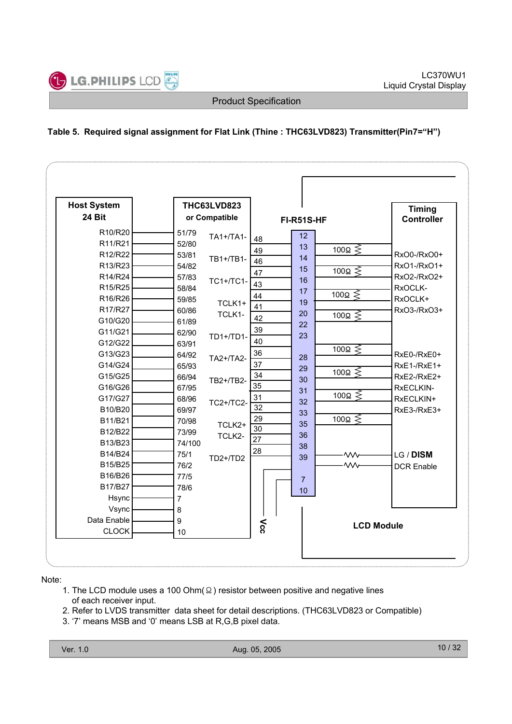# **Table 5. Required signal assignment for Flat Link (Thine : THC63LVD823) Transmitter(Pin7="H")**

| <b>Host System</b> |        | THC63LVD823      |                 |                |                   | <b>Timing</b>     |  |
|--------------------|--------|------------------|-----------------|----------------|-------------------|-------------------|--|
| 24 Bit             |        | or Compatible    |                 | FI-R51S-HF     |                   | <b>Controller</b> |  |
| R10/R20            | 51/79  | TA1+/TA1-        |                 | 12             |                   |                   |  |
| R11/R21            | 52/80  |                  | 48              | 13             | 100 $\Omega \leq$ |                   |  |
| R12/R22            | 53/81  | TB1+/TB1-        | 49              | 14             |                   | RxO0-/RxO0+       |  |
| R13/R23            | 54/82  |                  | 46              | 15             | 100 $\Omega \leq$ | RxO1-/RxO1+       |  |
| R14/R24            | 57/83  | <b>TC1+/TC1-</b> | 47              | 16             |                   | RxO2-/RxO2+       |  |
| R15/R25            | 58/84  |                  | 43              | 17             |                   | RxOCLK-           |  |
| R16/R26            | 59/85  | TCLK1+           | 44              | 19             | 100 $\Omega \leq$ | RxOCLK+           |  |
| R17/R27            | 60/86  | TCLK1-           | 41              | 20             |                   | RxO3-/RxO3+       |  |
| G10/G20            | 61/89  |                  | 42              | 22             | 100 $\Omega \leq$ |                   |  |
| G11/G21            | 62/90  | TD1+/TD1-        | 39              | 23             |                   |                   |  |
| G12/G22            | 63/91  |                  | 40              |                |                   |                   |  |
| G13/G23            | 64/92  | TA2+/TA2-        | 36              | 28             | 100 $\Omega \leq$ | RxE0-/RxE0+       |  |
| G14/G24            | 65/93  |                  | 37              | 29             |                   | $RxE1-/RxE1+$     |  |
| G15/G25            | 66/94  | TB2+/TB2-        | 34              | 30             | 100Ω $\leq$       | RxE2-/RxE2+       |  |
| G16/G26            | 67/95  |                  | 35              | 31             |                   | RxECLKIN-         |  |
| G17/G27            | 68/96  | <b>TC2+/TC2-</b> | 31              | 32             | 100 $\Omega \leq$ | RxECLKIN+         |  |
| B10/B20            | 69/97  |                  | 32              | 33             |                   | RxE3-/RxE3+       |  |
| B11/B21            | 70/98  | TCLK2+           | 29              | 35             | 100 $\Omega \leq$ |                   |  |
| B12/B22            | 73/99  | TCLK2-           | 30              | 36             |                   |                   |  |
| B13/B23            | 74/100 |                  | $\overline{27}$ | 38             |                   |                   |  |
| B14/B24            | 75/1   | $TD2+/TD2$       | 28              | 39             | ₩                 | LG / DISM         |  |
| B15/B25            | 76/2   |                  |                 |                | $\mathsf{w}$      | <b>DCR Enable</b> |  |
| B16/B26            | 77/5   |                  |                 | $\overline{7}$ |                   |                   |  |
| B17/B27            | 78/6   |                  |                 | 10             |                   |                   |  |
| Hsync              | 7      |                  |                 |                |                   |                   |  |
| Vsync              | 8      |                  |                 |                |                   |                   |  |
| Data Enable        | 9      |                  |                 |                |                   |                   |  |
| <b>CLOCK</b>       | 10     |                  | λς              |                | <b>LCD Module</b> |                   |  |

Note:

- 1. The LCD module uses a 100 Ohm( $\Omega$ ) resistor between positive and negative lines of each receiver input.
- 2. Refer to LVDS transmitter data sheet for detail descriptions. (THC63LVD823 or Compatible)
- 3. '7' means MSB and '0' means LSB at R,G,B pixel data.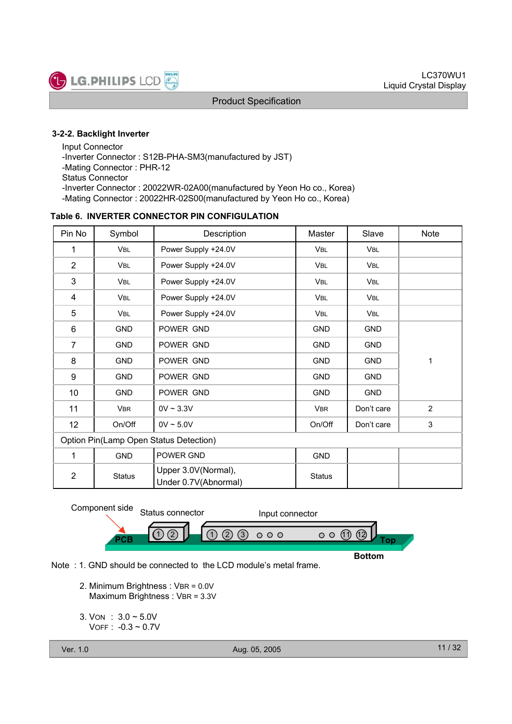

#### **3-2-2. Backlight Inverter**

Input Connector -Inverter Connector : S12B-PHA-SM3(manufactured by JST) -Mating Connector : PHR-12 Status Connector -Inverter Connector : 20022WR-02A00(manufactured by Yeon Ho co., Korea) -Mating Connector : 20022HR-02S00(manufactured by Yeon Ho co., Korea)

#### **Table 6. INVERTER CONNECTOR PIN CONFIGULATION**

| Pin No         | Symbol                                                       | Description         | Master        | Slave      | <b>Note</b>    |  |  |  |  |  |
|----------------|--------------------------------------------------------------|---------------------|---------------|------------|----------------|--|--|--|--|--|
| 1              | <b>VBL</b>                                                   | Power Supply +24.0V | VBL           | VBL        |                |  |  |  |  |  |
| $\overline{2}$ | VBL                                                          | Power Supply +24.0V | VBL           | VBL        |                |  |  |  |  |  |
| 3              | VBL                                                          | Power Supply +24.0V | VBL           | <b>VBL</b> |                |  |  |  |  |  |
| 4              | VBL                                                          | Power Supply +24.0V | VBL           | <b>VBL</b> |                |  |  |  |  |  |
| 5              | VBL                                                          | Power Supply +24.0V | VBL           | VBL        |                |  |  |  |  |  |
| 6              | <b>GND</b>                                                   | POWER GND           | <b>GND</b>    | <b>GND</b> |                |  |  |  |  |  |
| $\overline{7}$ | <b>GND</b>                                                   | POWER GND           | <b>GND</b>    | <b>GND</b> |                |  |  |  |  |  |
| 8              | <b>GND</b>                                                   | POWER GND           | <b>GND</b>    | <b>GND</b> | 1              |  |  |  |  |  |
| 9              | <b>GND</b>                                                   | POWER GND           | <b>GND</b>    | <b>GND</b> |                |  |  |  |  |  |
| 10             | <b>GND</b>                                                   | POWER GND           | <b>GND</b>    | <b>GND</b> |                |  |  |  |  |  |
| 11             | <b>VBR</b>                                                   | $0V \sim 3.3V$      | <b>VBR</b>    | Don't care | $\overline{2}$ |  |  |  |  |  |
| 12             | On/Off                                                       | $0V \sim 5.0V$      | On/Off        | Don't care | 3              |  |  |  |  |  |
|                | Option Pin(Lamp Open Status Detection)                       |                     |               |            |                |  |  |  |  |  |
| 1              | <b>GND</b>                                                   | POWER GND           | <b>GND</b>    |            |                |  |  |  |  |  |
| $\overline{2}$ | Upper 3.0V(Normal),<br><b>Status</b><br>Under 0.7V(Abnormal) |                     | <b>Status</b> |            |                |  |  |  |  |  |



Note : 1. GND should be connected to the LCD module's metal frame.

- 2. Minimum Brightness : VBR = 0.0V Maximum Brightness : VBR = 3.3V
- 3. VON : 3.0 ~ 5.0V  $V$ OFF :  $-0.3 \sim 0.7$ V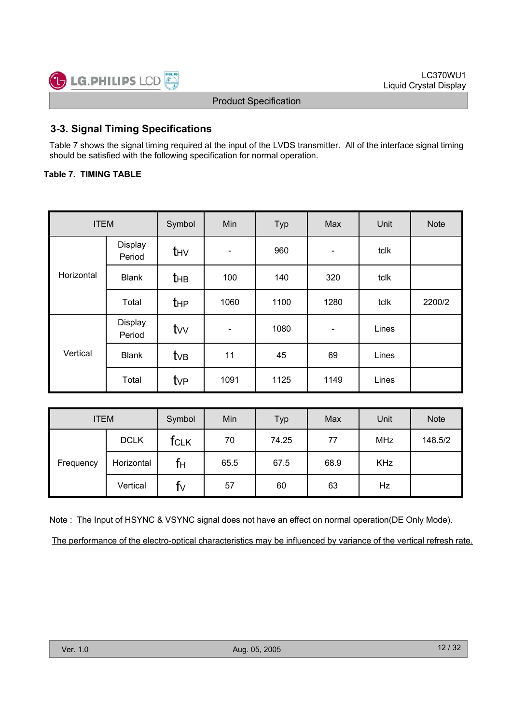# **3-3. Signal Timing Specifications**

Table 7 shows the signal timing required at the input of the LVDS transmitter. All of the interface signal timing should be satisfied with the following specification for normal operation.

### **Table 7. TIMING TABLE**

| <b>ITEM</b> |                   | Symbol          | Min                      | Typ  | Max                      | Unit  | <b>Note</b> |
|-------------|-------------------|-----------------|--------------------------|------|--------------------------|-------|-------------|
|             | Display<br>Period | t <sub>HV</sub> | $\overline{\phantom{a}}$ | 960  | $\overline{\phantom{a}}$ | tclk  |             |
| Horizontal  | <b>Blank</b>      | <b>t</b> HB     | 100                      | 140  | 320                      | tclk  |             |
|             | Total             | $t_{HP}$        | 1060                     | 1100 | 1280                     | tclk  | 2200/2      |
|             | Display<br>Period | $t_{VV}$        | $\overline{\phantom{a}}$ | 1080 | $\overline{\phantom{a}}$ | Lines |             |
| Vertical    | <b>Blank</b>      | tv <sub>B</sub> | 11                       | 45   | 69                       | Lines |             |
|             | Total             | $t_{VP}$        | 1091                     | 1125 | 1149                     | Lines |             |

| <b>ITEM</b> |             | Symbol | Min  | Typ   | Max  | Unit       | <b>Note</b> |
|-------------|-------------|--------|------|-------|------|------------|-------------|
|             | <b>DCLK</b> | TCLK   | 70   | 74.25 | 77   | <b>MHz</b> | 148.5/2     |
| Frequency   | Horizontal  | Tн     | 65.5 | 67.5  | 68.9 | <b>KHz</b> |             |
|             | Vertical    | ī۷     | 57   | 60    | 63   | Hz         |             |

Note : The Input of HSYNC & VSYNC signal does not have an effect on normal operation(DE Only Mode). The performance of the electro-optical characteristics may be influenced by variance of the vertical refresh rate.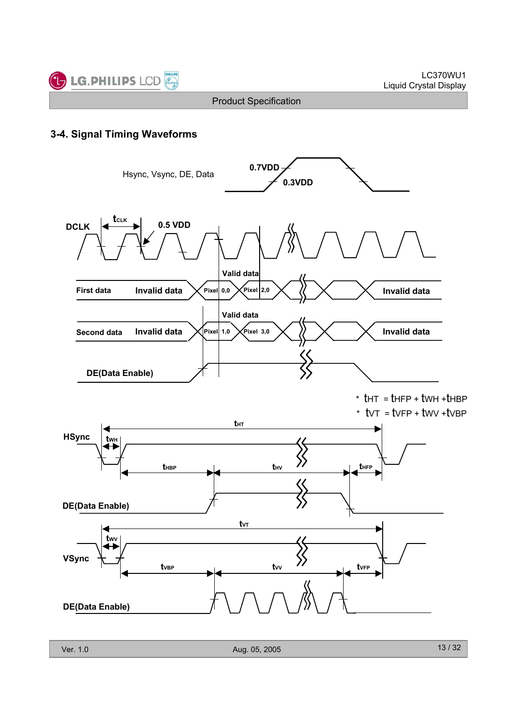

## **3-4. Signal Timing Waveforms**

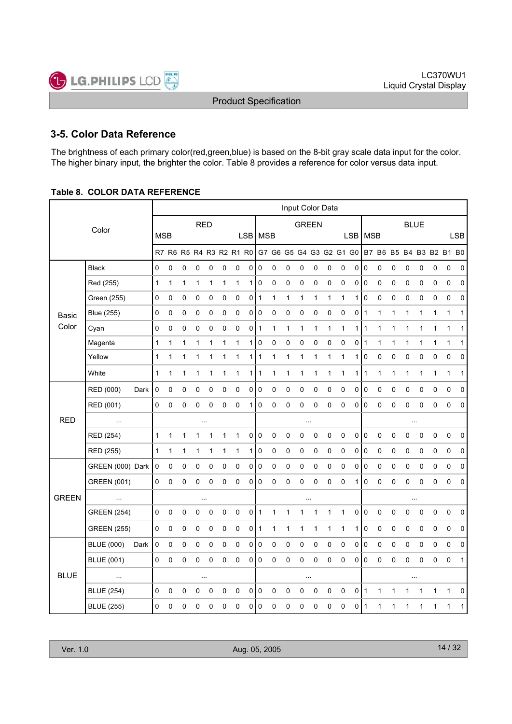# **3-5. Color Data Reference**

The brightness of each primary color(red,green,blue) is based on the 8-bit gray scale data input for the color. The higher binary input, the brighter the color. Table 8 provides a reference for color versus data input.

#### **Table 8. COLOR DATA REFERENCE**

|              |                    |      |              |           |             |             |           |              |                         |                |              |                         |              | Input Color Data |              |              |              |   |                  |             |              |             |              |   |                         |             |
|--------------|--------------------|------|--------------|-----------|-------------|-------------|-----------|--------------|-------------------------|----------------|--------------|-------------------------|--------------|------------------|--------------|--------------|--------------|---|------------------|-------------|--------------|-------------|--------------|---|-------------------------|-------------|
|              | Color              |      |              |           |             | <b>RED</b>  |           |              |                         |                |              |                         |              | <b>GREEN</b>     |              |              |              |   |                  |             |              | <b>BLUE</b> |              |   |                         |             |
|              |                    |      | <b>MSB</b>   |           |             |             |           |              |                         |                | LSB   MSB    |                         |              |                  |              |              |              |   | LSB   MSB        |             |              |             |              |   |                         | <b>LSB</b>  |
|              |                    |      |              |           |             |             |           |              | R7 R6 R5 R4 R3 R2 R1 R0 |                |              | G7 G6 G5 G4 G3 G2 G1 G0 |              |                  |              |              |              |   |                  |             |              |             |              |   | B7 B6 B5 B4 B3 B2 B1 B0 |             |
|              | <b>Black</b>       |      | 0            | 0         | 0           | 0           | 0         | 0            | 0                       | 0              | 0            | 0                       | 0            | 0                | 0            | 0            | 0            | 0 | $\boldsymbol{0}$ | 0           | 0            | 0           | 0            | 0 | 0                       | 0           |
|              | Red (255)          |      | $\mathbf{1}$ | 1         | 1           | 1           | 1         | $\mathbf{1}$ | 1                       |                | 1 0          | 0                       | 0            | 0                | 0            | 0            | 0            | 0 | I٥               | 0           | 0            | 0           | 0            | 0 | 0                       | 0           |
|              | Green (255)        |      | 0            | 0         | 0           | 0           | 0         | $\pmb{0}$    | 0                       | 0              | $\mathbf{1}$ | $\mathbf{1}$            | 1            | $\mathbf{1}$     | 1            | 1            | $\mathbf{1}$ | 1 | $\pmb{0}$        | $\pmb{0}$   | 0            | $\pmb{0}$   | 0            | 0 | 0                       | $\mathbf 0$ |
| <b>Basic</b> | <b>Blue (255)</b>  |      | 0            | 0         | 0           | 0           | 0         | 0            | 0                       | 0              | 0            | 0                       | 0            | 0                | 0            | 0            | 0            | 0 | 1                | 1           | 1            | 1           | 1            | 1 | 1                       | 1           |
| Color        | Cyan               |      | 0            | 0         | 0           | 0           | 0         | 0            | 0                       | 0              | 1            | 1                       | $\mathbf{1}$ | 1                | $\mathbf{1}$ | 1            | $\mathbf{1}$ | 1 | $\mathbf{1}$     | 1           | $\mathbf{1}$ | 1           | $\mathbf{1}$ | 1 | 1                       | 1           |
|              | Magenta            |      | $\mathbf{1}$ | 1         | 1           | 1           | 1         | 1            | 1                       | 1              | 0            | 0                       | 0            | 0                | 0            | 0            | 0            | 0 | $\vert$ 1        | 1           | 1            | 1           | $\mathbf{1}$ | 1 | $\mathbf{1}$            | 1           |
|              | Yellow             |      | $\mathbf{1}$ | 1         | 1           | 1           | 1         | 1            | 1                       | 1 <sup>1</sup> | 1            | 1                       | 1            | 1                | 1            | 1            | 1            | 1 | 0                | 0           | 0            | 0           | 0            | 0 | 0                       | 0           |
|              | White              |      | $\mathbf{1}$ | 1         | 1           | 1           | 1         | 1            | 1                       | 1              | 1            | 1                       | 1            | 1                | 1            | 1            | 1            | 1 | 1                | 1           | 1            | 1           | $\mathbf{1}$ | 1 | 1                       | 1           |
|              | RED (000)          | Dark | $\pmb{0}$    | 0         | 0           | 0           | 0         | 0            | 0                       | $\mathsf{O}$   | $\pmb{0}$    | 0                       | 0            | 0                | 0            | 0            | 0            | 0 | $\pmb{0}$        | 0           | 0            | 0           | 0            | 0 | 0                       | $\mathbf 0$ |
|              | RED (001)          |      | 0            | 0         | 0           | 0           | 0         | 0            | 0                       | 1              | 0            | 0                       | 0            | 0                | 0            | 0            | $\mathbf 0$  | 0 | 0                | 0           | 0            | 0           | 0            | 0 | 0                       | $\mathbf 0$ |
| <b>RED</b>   | $\ddotsc$          |      |              |           |             | $\sim$      |           |              |                         |                |              |                         |              |                  |              |              |              |   |                  |             |              | $\cdots$    |              |   |                         |             |
|              | RED (254)          |      | 1            | 1         | 1           | 1           | 1         | 1            | 1                       | 0              | 0            | 0                       | $\pmb{0}$    | 0                | 0            | 0            | $\pmb{0}$    | 0 | $\pmb{0}$        | $\mathbf 0$ | 0            | 0           | 0            | 0 | 0                       | $\mathbf 0$ |
|              | RED (255)          |      | 1            | 1         | 1           | 1           | 1         | 1            | 1                       | 1              | 0            | 0                       | 0            | 0                | 0            | 0            | 0            | 0 | 0                | 0           | 0            | 0           | 0            | 0 | 0                       | 0           |
|              | GREEN (000) Dark   |      | 0            | 0         | 0           | 0           | 0         | 0            | 0                       | $\pmb{0}$      | 0            | 0                       | 0            | 0                | 0            | 0            | 0            | 0 | $\pmb{0}$        | 0           | 0            | 0           | 0            | 0 | 0                       | 0           |
|              | <b>GREEN (001)</b> |      | 0            | 0         | 0           | 0           | 0         | 0            | 0                       | $\overline{0}$ | 0            | 0                       | 0            | 0                | 0            | 0            | $\mathbf 0$  | 1 | $\pmb{0}$        | $\mathbf 0$ | 0            | 0           | 0            | 0 | 0                       | $\mathbf 0$ |
| <b>GREEN</b> | $\ddotsc$          |      |              |           |             | $\cdots$    |           |              |                         |                |              |                         |              | $\cdots$         |              |              |              |   |                  |             |              | $\cdots$    |              |   |                         |             |
|              | <b>GREEN</b> (254) |      | 0            | 0         | $\pmb{0}$   | $\mathsf 0$ | $\pmb{0}$ | 0            | 0                       | $\pmb{0}$      | 1            | 1                       | 1            | 1                | 1            | $\mathbf{1}$ | $\mathbf{1}$ | 0 | $\pmb{0}$        | $\pmb{0}$   | $\pmb{0}$    | $\pmb{0}$   | 0            | 0 | 0                       | $\pmb{0}$   |
|              | <b>GREEN (255)</b> |      | 0            | 0         | 0           | 0           | 0         | 0            | 0                       | 0              | 1            | 1                       | 1            | $\mathbf{1}$     | 1            | 1            | $\mathbf{1}$ | 1 | 0                | $\pmb{0}$   | 0            | $\pmb{0}$   | 0            | 0 | 0                       | 0           |
|              | <b>BLUE (000)</b>  | Dark | $\pmb{0}$    | 0         | 0           | 0           | 0         | 0            | 0                       | 0              | 0            | 0                       | 0            | 0                | 0            | 0            | $\pmb{0}$    | 0 | $\pmb{0}$        | 0           | 0            | 0           | 0            | 0 | 0                       | 0           |
|              | <b>BLUE (001)</b>  |      | 0            | 0         | 0           | 0           | 0         | 0            | 0                       | 0              | 0            | 0                       | 0            | 0                | 0            | 0            | $\mathbf 0$  | 0 | 0                | $\pmb{0}$   | 0            | 0           | 0            | 0 | 0                       | 1           |
| <b>BLUE</b>  |                    |      |              |           |             | $\sim$      |           |              |                         |                |              |                         |              | $\sim$           |              |              |              |   |                  |             |              | $\ldots$    |              |   |                         |             |
|              | <b>BLUE (254)</b>  |      | 0            | $\pmb{0}$ | $\mathbf 0$ | 0           | 0         | 0            | $\pmb{0}$               | $\pmb{0}$      | $\pmb{0}$    | 0                       | $\pmb{0}$    | 0                | $\mathbf 0$  | 0            | $\pmb{0}$    | 0 | 1                | 1           | 1            | 1           | 1            | 1 | 1                       | 0           |
|              | <b>BLUE (255)</b>  |      | 0            | 0         | 0           | 0           | 0         | 0            | 0                       | 0              | 0            | 0                       | 0            | 0                | 0            | 0            | $\pmb{0}$    | 0 | 1                | 1           | 1            | 1           | 1            | 1 | 1                       | 1           |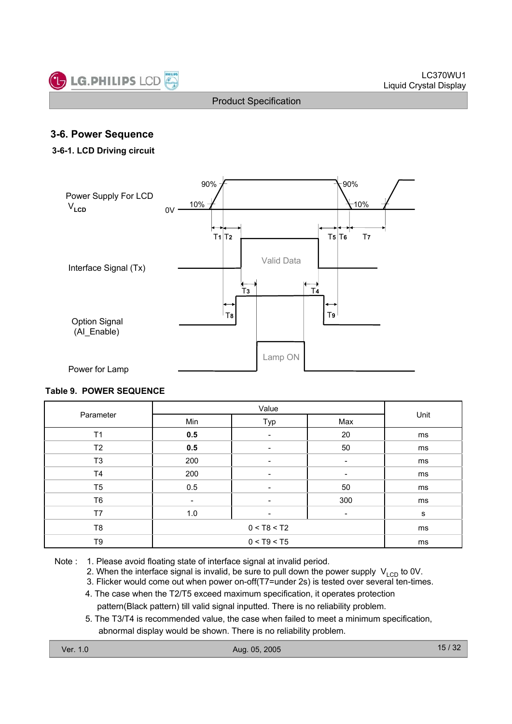

### **3-6. Power Sequence**

#### **3-6-1. LCD Driving circuit**



#### **Table 9. POWER SEQUENCE**

|                |                          | Unit |                          |    |  |
|----------------|--------------------------|------|--------------------------|----|--|
| Parameter      | Min                      | Typ  | Max                      |    |  |
| T <sub>1</sub> | 0.5                      | -    | 20                       | ms |  |
| T2             | 0.5                      | ٠    | 50                       | ms |  |
| T <sub>3</sub> | 200                      |      |                          | ms |  |
| T <sub>4</sub> | 200                      | -    | -                        | ms |  |
| T <sub>5</sub> | 0.5                      |      | 50                       | ms |  |
| T <sub>6</sub> | $\overline{\phantom{a}}$ | -    | 300                      | ms |  |
| T7             | 1.0                      |      | $\overline{\phantom{a}}$ | s  |  |
| T <sub>8</sub> |                          | ms   |                          |    |  |
| T9             |                          | ms   |                          |    |  |

Note : 1. Please avoid floating state of interface signal at invalid period.

2. When the interface signal is invalid, be sure to pull down the power supply  $V_{\text{LCD}}$  to 0V.

3. Flicker would come out when power on-off(T7=under 2s) is tested over several ten-times.

- 4. The case when the T2/T5 exceed maximum specification, it operates protection pattern(Black pattern) till valid signal inputted. There is no reliability problem.
- 5. The T3/T4 is recommended value, the case when failed to meet a minimum specification, abnormal display would be shown. There is no reliability problem.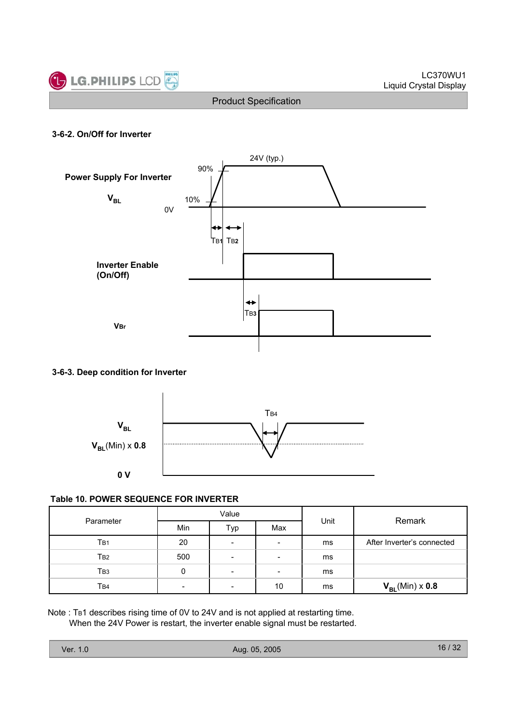

#### **3-6-2. On/Off for Inverter**



#### **3-6-3. Deep condition for Inverter**



#### **Table 10. POWER SEQUENCE FOR INVERTER**

| Parameter |     | Value                    |                          | Unit | Remark                     |  |  |
|-----------|-----|--------------------------|--------------------------|------|----------------------------|--|--|
|           | Min | Typ                      | Max                      |      |                            |  |  |
| TB1       | 20  | $\overline{\phantom{a}}$ | $\overline{\phantom{0}}$ | ms   | After Inverter's connected |  |  |
| Тв2       | 500 | $\overline{\phantom{a}}$ | $\overline{\phantom{0}}$ | ms   |                            |  |  |
| Твз       | 0   | $\overline{\phantom{a}}$ | $\overline{\phantom{0}}$ | ms   |                            |  |  |
| Tв4       | -   | $\overline{\phantom{a}}$ | 10                       | ms   | $V_{BL}(Min) \times 0.8$   |  |  |

Note : TB1 describes rising time of 0V to 24V and is not applied at restarting time. When the 24V Power is restart, the inverter enable signal must be restarted.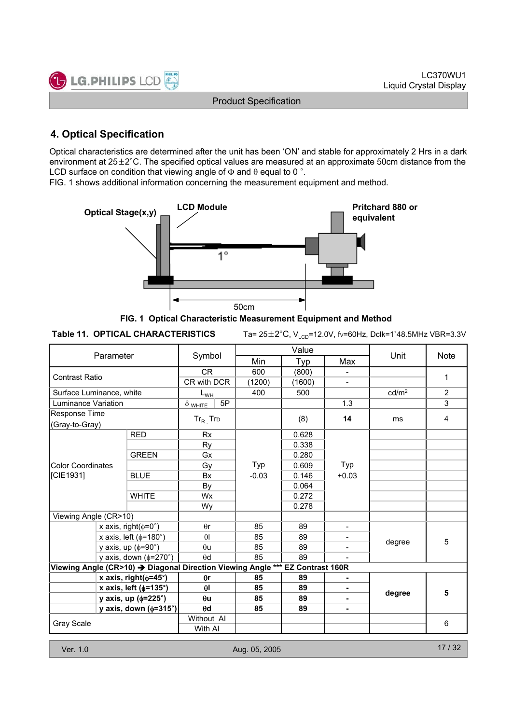![](_page_16_Picture_1.jpeg)

# **4. Optical Specification**

Optical characteristics are determined after the unit has been 'ON' and stable for approximately 2 Hrs in a dark environment at  $25\pm2^{\circ}$ C. The specified optical values are measured at an approximate 50cm distance from the LCD surface on condition that viewing angle of  $\Phi$  and  $\theta$  equal to 0 °.

FIG. 1 shows additional information concerning the measurement equipment and method.

![](_page_16_Figure_6.jpeg)

**FIG. 1 Optical Characteristic Measurement Equipment and Method**

Ta= 25±2°C, V<sub>LCD</sub>=12.0V, fv=60Hz, Dclk=1`48.5MHz VBR=3.3V

| Parameter                |                            |                                 |                                                                               | Value   |        | Unit           | <b>Note</b>       |                |  |
|--------------------------|----------------------------|---------------------------------|-------------------------------------------------------------------------------|---------|--------|----------------|-------------------|----------------|--|
|                          |                            |                                 | Symbol                                                                        | Min     | Typ    | Max            |                   |                |  |
|                          |                            |                                 | CR.                                                                           | 600     | (800)  |                |                   | 1              |  |
| <b>Contrast Ratio</b>    |                            |                                 | CR with DCR                                                                   | (1200)  | (1600) |                |                   |                |  |
| Surface Luminance, white |                            |                                 | $L_{WH}$                                                                      | 400     | 500    |                | cd/m <sup>2</sup> | $\overline{2}$ |  |
| Luminance Variation      |                            |                                 | 5P<br>$\delta$ white                                                          |         |        | 1.3            |                   | 3              |  |
| Response Time            |                            |                                 |                                                                               |         |        |                |                   |                |  |
| (Gray-to-Gray)           |                            |                                 | $Tr_R$ Trp                                                                    |         | (8)    | 14             | ms                | 4              |  |
|                          |                            | <b>RED</b>                      | <b>Rx</b>                                                                     |         | 0.628  |                |                   |                |  |
|                          |                            |                                 | Ry                                                                            |         | 0.338  |                |                   |                |  |
|                          |                            | <b>GREEN</b>                    | Gx                                                                            |         | 0.280  |                |                   |                |  |
| <b>Color Coordinates</b> |                            |                                 | Gy                                                                            | Typ     | 0.609  | Typ            |                   |                |  |
| [CIE1931]                |                            | <b>BLUE</b>                     | <b>Bx</b>                                                                     | $-0.03$ | 0.146  | $+0.03$        |                   |                |  |
|                          |                            |                                 | By                                                                            |         | 0.064  |                |                   |                |  |
|                          |                            | <b>WHITE</b>                    | <b>Wx</b>                                                                     |         | 0.272  |                |                   |                |  |
|                          |                            |                                 | Wy                                                                            |         | 0.278  |                |                   |                |  |
| Viewing Angle (CR>10)    |                            |                                 |                                                                               |         |        |                |                   |                |  |
|                          |                            | x axis, right( $\phi$ =0°)      | $\theta$ r                                                                    | 85      | 89     | $\blacksquare$ |                   |                |  |
|                          |                            | x axis, left ( $\phi$ =180°)    | $\theta$                                                                      | 85      | 89     |                | degree            | 5              |  |
|                          |                            | y axis, up $(\phi = 90^\circ)$  | $\theta$ u                                                                    | 85      | 89     |                |                   |                |  |
|                          |                            | y axis, down $(\phi=270^\circ)$ | $\theta$ d                                                                    | 85      | 89     |                |                   |                |  |
|                          |                            |                                 | Viewing Angle (CR>10) → Diagonal Direction Viewing Angle *** EZ Contrast 160R |         |        |                |                   |                |  |
|                          |                            | x axis, right( $\phi$ =45°)     | $\theta$ r                                                                    | 85      | 89     |                |                   |                |  |
|                          |                            | x axis, left ( $\phi$ =135°)    | $\theta$                                                                      | 85      | 89     |                | degree            | 5              |  |
|                          | y axis, up ( $\phi$ =225°) |                                 | $\theta$ u                                                                    | 85      | 89     |                |                   |                |  |
|                          |                            | y axis, down $(\phi=315^\circ)$ | $\theta$ d                                                                    | 85      | 89     | ٠              |                   |                |  |
| <b>Gray Scale</b>        |                            |                                 | Without AI                                                                    |         |        |                |                   | 6              |  |
|                          |                            | With AI                         |                                                                               |         |        |                |                   |                |  |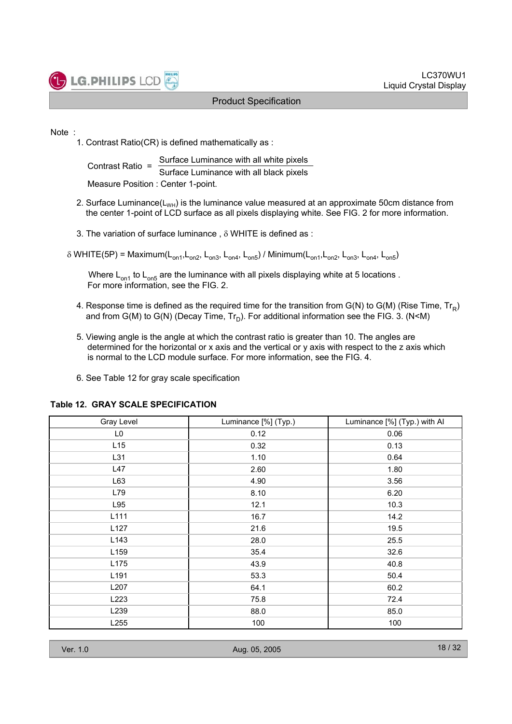![](_page_17_Picture_0.jpeg)

#### Note :

1. Contrast Ratio(CR) is defined mathematically as :

Contrast Ratio =  $\frac{\text{Surface Luminance with all white pixels}}{\text{Surface Luminance with all black pixels}}$ Measure Position : Center 1-point.

- 2. Surface Luminance( $L_{WH}$ ) is the luminance value measured at an approximate 50cm distance from the center 1-point of LCD surface as all pixels displaying white. See FIG. 2 for more information.
- 3. The variation of surface luminance ,  $\delta$  WHITE is defined as :

 $\delta$  WHITE(5P) = Maximum(L<sub>on1</sub>,L<sub>on2</sub>, L<sub>on3</sub>, L<sub>on4</sub>, L<sub>on5</sub>) / Minimum(L<sub>on1</sub>,L<sub>on2</sub>, L<sub>on3</sub>, L<sub>on4</sub>, L<sub>on5</sub>)

Where  $L_{on1}$  to  $L_{on5}$  are the luminance with all pixels displaying white at 5 locations. For more information, see the FIG. 2.

- 4. Response time is defined as the required time for the transition from  $G(N)$  to  $G(M)$  (Rise Time,  $Tr_B$ ) and from G(M) to G(N) (Decay Time,  $Tr_D$ ). For additional information see the FIG. 3. (N<M)
- 5. Viewing angle is the angle at which the contrast ratio is greater than 10. The angles are determined for the horizontal or x axis and the vertical or y axis with respect to the z axis which is normal to the LCD module surface. For more information, see the FIG. 4.
- 6. See Table 12 for gray scale specification

| Gray Level     | Luminance [%] (Typ.) | Luminance [%] (Typ.) with Al |
|----------------|----------------------|------------------------------|
| L <sub>0</sub> | 0.12                 | 0.06                         |
| L15            | 0.32                 | 0.13                         |
| L31            | 1.10                 | 0.64                         |
| L47            | 2.60                 | 1.80                         |
| L63            | 4.90                 | 3.56                         |
| L79            | 8.10                 | 6.20                         |
| L95            | 12.1                 | 10.3                         |
| L111           | 16.7                 | 14.2                         |
| L127           | 21.6                 | 19.5                         |
| L143           | 28.0                 | 25.5                         |
| L159           | 35.4                 | 32.6                         |
| L175           | 43.9                 | 40.8                         |
| L191           | 53.3                 | 50.4                         |
| L207           | 64.1                 | 60.2                         |
| L223           | 75.8                 | 72.4                         |
| L239           | 88.0                 | 85.0                         |
| L255           | 100                  | 100                          |

#### **Table 12. GRAY SCALE SPECIFICATION**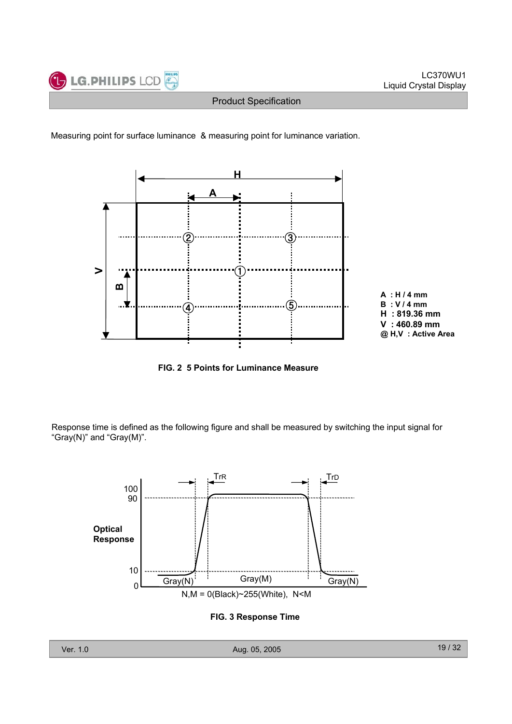![](_page_18_Picture_0.jpeg)

![](_page_18_Figure_3.jpeg)

![](_page_18_Figure_4.jpeg)

**FIG. 2 5 Points for Luminance Measure**

Response time is defined as the following figure and shall be measured by switching the input signal for "Gray(N)" and "Gray(M)".

![](_page_18_Figure_7.jpeg)

#### **FIG. 3 Response Time**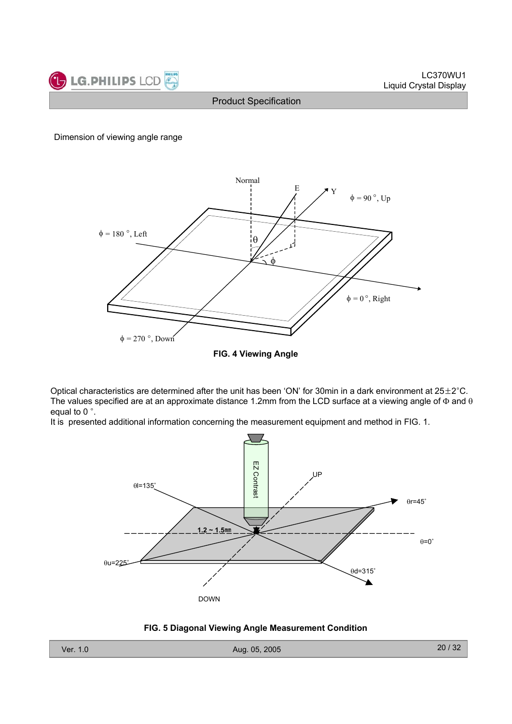![](_page_19_Picture_0.jpeg)

#### Dimension of viewing angle range

![](_page_19_Figure_4.jpeg)

Optical characteristics are determined after the unit has been 'ON' for 30min in a dark environment at  $25\pm2^{\circ}$ C. The values specified are at an approximate distance 1.2mm from the LCD surface at a viewing angle of  $\Phi$  and  $\theta$ equal to  $0^\circ$ .

It is presented additional information concerning the measurement equipment and method in FIG. 1.

![](_page_19_Figure_7.jpeg)

#### **FIG. 5 Diagonal Viewing Angle Measurement Condition**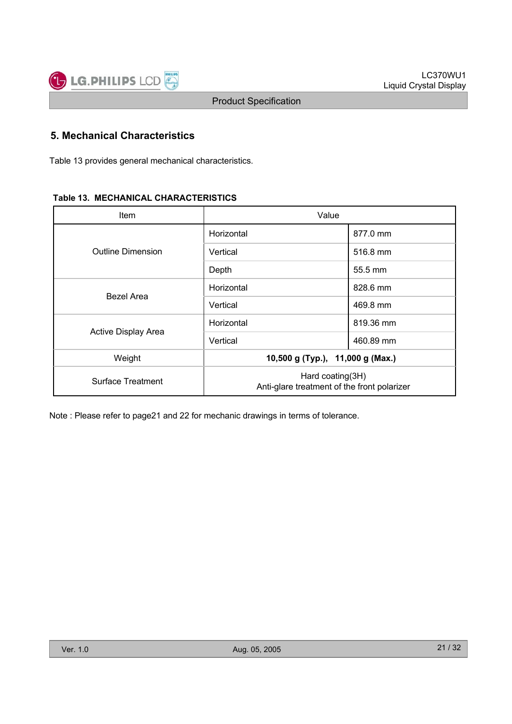# **5. Mechanical Characteristics**

Table 13 provides general mechanical characteristics.

#### **Table 13. MECHANICAL CHARACTERISTICS**

| <b>Item</b>                | Value                                                           |           |  |  |  |
|----------------------------|-----------------------------------------------------------------|-----------|--|--|--|
|                            | Horizontal                                                      | 877.0 mm  |  |  |  |
| <b>Outline Dimension</b>   | Vertical                                                        | 516.8 mm  |  |  |  |
|                            | Depth                                                           | 55.5 mm   |  |  |  |
|                            | Horizontal                                                      | 828.6 mm  |  |  |  |
| Bezel Area                 | Vertical                                                        | 469.8 mm  |  |  |  |
|                            | Horizontal                                                      | 819.36 mm |  |  |  |
| <b>Active Display Area</b> | Vertical                                                        | 460.89 mm |  |  |  |
| Weight                     | 10,500 g (Typ.), 11,000 g (Max.)                                |           |  |  |  |
| Surface Treatment          | Hard coating(3H)<br>Anti-glare treatment of the front polarizer |           |  |  |  |

Note : Please refer to page21 and 22 for mechanic drawings in terms of tolerance.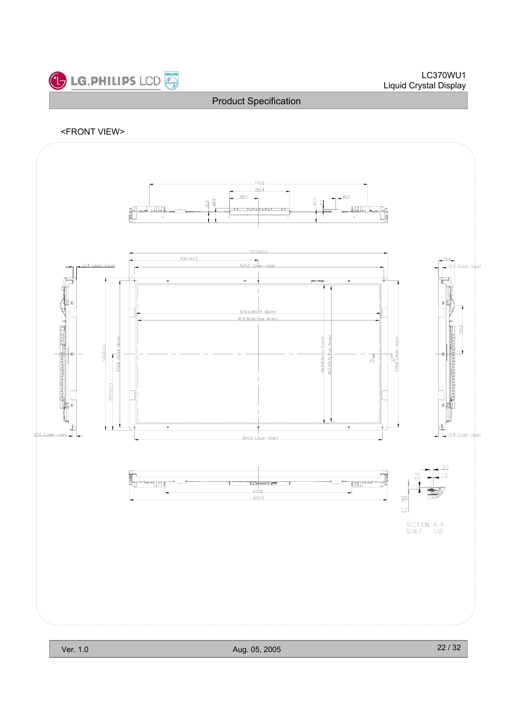![](_page_21_Picture_0.jpeg)

#### <FRONT VIEW>

![](_page_21_Figure_4.jpeg)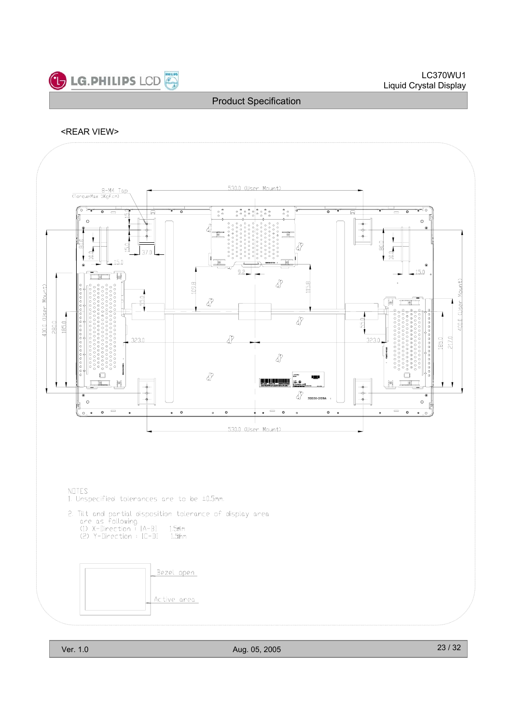![](_page_22_Picture_0.jpeg)

#### <REAR VIEW>

![](_page_22_Figure_4.jpeg)

NOTES 1. Unspecified tolerances are to be ±0.5mm.

- 2. Tilt and partial disposition tolerance of display area<br>are as following.<br>(1) X-Direction : IA-BI 1.5¤m<br>(2) Y-Direction : IC-DI 1.5¤m
	-
	-

![](_page_22_Figure_9.jpeg)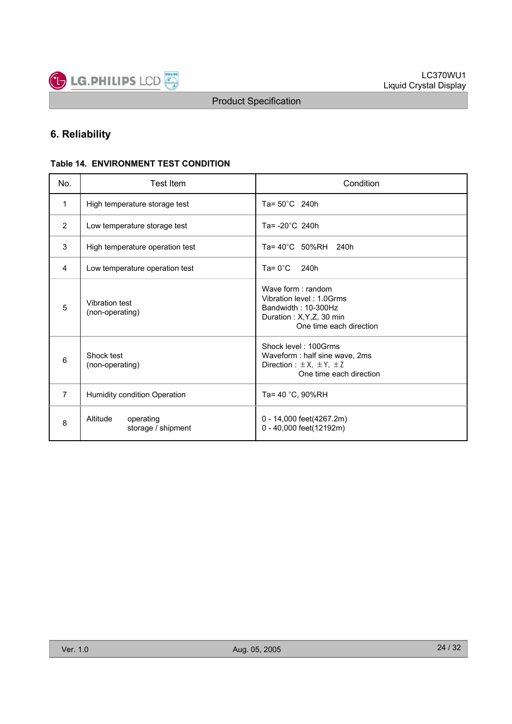![](_page_23_Picture_0.jpeg)

# **6. Reliability**

#### **Table 14. ENVIRONMENT TEST CONDITION**

| No.            | <b>Test Item</b>                            | Condition                                                                                                                    |  |  |  |  |  |
|----------------|---------------------------------------------|------------------------------------------------------------------------------------------------------------------------------|--|--|--|--|--|
| $\mathbf{1}$   | High temperature storage test               | Ta= $50^{\circ}$ C 240h                                                                                                      |  |  |  |  |  |
| $\overline{2}$ | Low temperature storage test                | Ta= $-20^{\circ}$ C 240h                                                                                                     |  |  |  |  |  |
| 3              | High temperature operation test             | Ta= 40°C 50%RH 240h                                                                                                          |  |  |  |  |  |
| 4              | Low temperature operation test              | $Ta = 0^{\circ}C$<br>240h                                                                                                    |  |  |  |  |  |
| 5              | Vibration test<br>(non-operating)           | Wave form: random<br>Vibration level: 1.0Grms<br>Bandwidth: 10-300Hz<br>Duration: X, Y, Z, 30 min<br>One time each direction |  |  |  |  |  |
| 6              | Shock test<br>(non-operating)               | Shock level: 100Grms<br>Waveform : half sine wave, 2ms<br>Direction : $\pm$ X, $\pm$ Y, $\pm$ Z<br>One time each direction   |  |  |  |  |  |
| $\overline{7}$ | Humidity condition Operation                | Ta= 40 °C, 90%RH                                                                                                             |  |  |  |  |  |
| 8              | Altitude<br>operating<br>storage / shipment | 0 - 14,000 feet(4267.2m)<br>0 - 40,000 feet(12192m)                                                                          |  |  |  |  |  |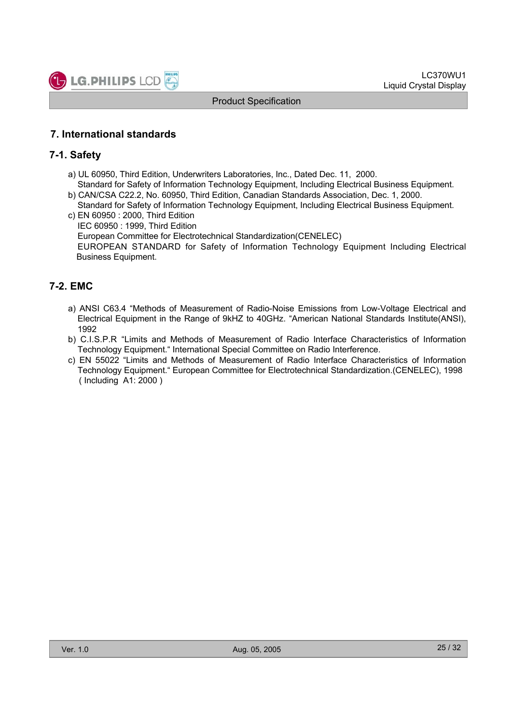![](_page_24_Picture_0.jpeg)

### **7. International standards**

### **7-1. Safety**

a) UL 60950, Third Edition, Underwriters Laboratories, Inc., Dated Dec. 11, 2000.

Standard for Safety of Information Technology Equipment, Including Electrical Business Equipment. b) CAN/CSA C22.2, No. 60950, Third Edition, Canadian Standards Association, Dec. 1, 2000.

- Standard for Safety of Information Technology Equipment, Including Electrical Business Equipment. c) EN 60950 : 2000, Third Edition
- IEC 60950 : 1999, Third Edition European Committee for Electrotechnical Standardization(CENELEC) EUROPEAN STANDARD for Safety of Information Technology Equipment Including Electrical Business Equipment.

### **7-2. EMC**

- a) ANSI C63.4 "Methods of Measurement of Radio-Noise Emissions from Low-Voltage Electrical and Electrical Equipment in the Range of 9kHZ to 40GHz. "American National Standards Institute(ANSI), 1992
- b) C.I.S.P.R "Limits and Methods of Measurement of Radio Interface Characteristics of Information Technology Equipment." International Special Committee on Radio Interference.
- c) EN 55022 "Limits and Methods of Measurement of Radio Interface Characteristics of Information Technology Equipment." European Committee for Electrotechnical Standardization.(CENELEC), 1998 ( Including A1: 2000 )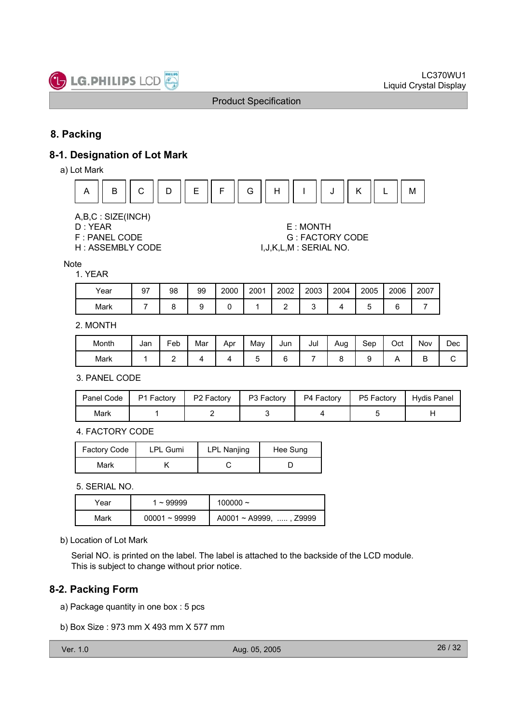![](_page_25_Picture_0.jpeg)

# **8. Packing**

### **8-1. Designation of Lot Mark**

a) Lot Mark

![](_page_25_Figure_6.jpeg)

A,B,C : SIZE(INCH)

- 
- 
- 

D : YEAR E : MONTH F : PANEL CODE G : FACTORY CODE H : ASSEMBLY CODE  $I,J,K,L,M$  : SERIAL NO.

Note

#### 1. YEAR

| Year | 97 | 98 | 99 | 2000 | 2001 | 2002 | 2003 | 2004 | 2005 | 2006 | 2007 |
|------|----|----|----|------|------|------|------|------|------|------|------|
| Mark |    |    |    |      |      |      |      |      |      |      |      |

### 2. MONTH

| Month | Jan | Feb | Mar | Apr | May | Jun | Jul | Aug | Sep | Oct | Nov | Dec |
|-------|-----|-----|-----|-----|-----|-----|-----|-----|-----|-----|-----|-----|
| Mark  |     | -   |     |     |     |     |     |     |     |     | ◡   |     |

3. PANEL CODE

| Panel Code | P1 Factory | P <sub>2</sub> Factory | P3 Factory | P4 Factory | P5 Factory | Hydis Panel |
|------------|------------|------------------------|------------|------------|------------|-------------|
| Mark       |            |                        |            |            |            |             |

4. FACTORY CODE

| <b>Factory Code</b> | <b>LPL Gumi</b> | <b>LPL Nanjing</b> | Hee Sung |  |
|---------------------|-----------------|--------------------|----------|--|
| Mark                |                 |                    |          |  |

5. SERIAL NO.

| Year | $~\sim$ 99999   | 100000 $\sim$                |
|------|-----------------|------------------------------|
| Mark | $00001 - 99999$ | $A0001 \sim A9999$ , , Z9999 |

b) Location of Lot Mark

Serial NO. is printed on the label. The label is attached to the backside of the LCD module. This is subject to change without prior notice.

# **8-2. Packing Form**

a) Package quantity in one box : 5 pcs

b) Box Size : 973 mm X 493 mm X 577 mm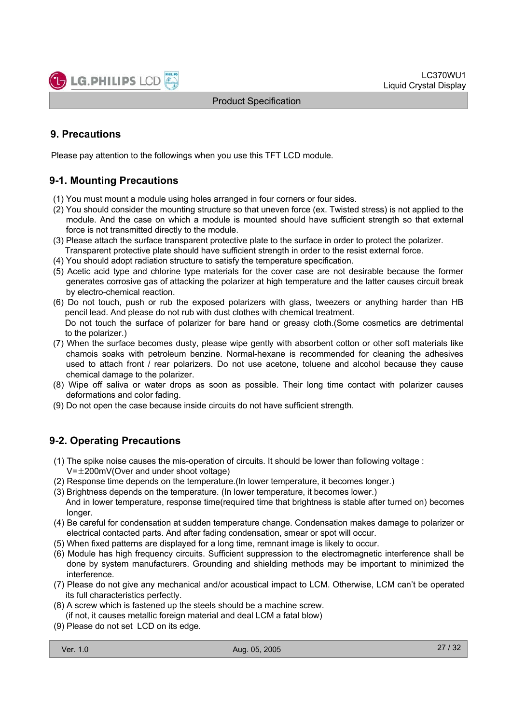# **9. Precautions**

Please pay attention to the followings when you use this TFT LCD module.

# **9-1. Mounting Precautions**

- (1) You must mount a module using holes arranged in four corners or four sides.
- (2) You should consider the mounting structure so that uneven force (ex. Twisted stress) is not applied to the module. And the case on which a module is mounted should have sufficient strength so that external force is not transmitted directly to the module.
- (3) Please attach the surface transparent protective plate to the surface in order to protect the polarizer. Transparent protective plate should have sufficient strength in order to the resist external force.
- (4) You should adopt radiation structure to satisfy the temperature specification.
- (5) Acetic acid type and chlorine type materials for the cover case are not desirable because the former generates corrosive gas of attacking the polarizer at high temperature and the latter causes circuit break by electro-chemical reaction.
- (6) Do not touch, push or rub the exposed polarizers with glass, tweezers or anything harder than HB pencil lead. And please do not rub with dust clothes with chemical treatment.

Do not touch the surface of polarizer for bare hand or greasy cloth.(Some cosmetics are detrimental to the polarizer.)

- (7) When the surface becomes dusty, please wipe gently with absorbent cotton or other soft materials like chamois soaks with petroleum benzine. Normal-hexane is recommended for cleaning the adhesives used to attach front / rear polarizers. Do not use acetone, toluene and alcohol because they cause chemical damage to the polarizer.
- (8) Wipe off saliva or water drops as soon as possible. Their long time contact with polarizer causes deformations and color fading.
- (9) Do not open the case because inside circuits do not have sufficient strength.

# **9-2. Operating Precautions**

- (1) The spike noise causes the mis-operation of circuits. It should be lower than following voltage :
	- $V=\pm 200$ mV(Over and under shoot voltage)
- (2) Response time depends on the temperature.(In lower temperature, it becomes longer.)
- (3) Brightness depends on the temperature. (In lower temperature, it becomes lower.) And in lower temperature, response time(required time that brightness is stable after turned on) becomes longer.
- (4) Be careful for condensation at sudden temperature change. Condensation makes damage to polarizer or electrical contacted parts. And after fading condensation, smear or spot will occur.
- (5) When fixed patterns are displayed for a long time, remnant image is likely to occur.
- (6) Module has high frequency circuits. Sufficient suppression to the electromagnetic interference shall be done by system manufacturers. Grounding and shielding methods may be important to minimized the interference.
- (7) Please do not give any mechanical and/or acoustical impact to LCM. Otherwise, LCM can't be operated its full characteristics perfectly.
- (8) A screw which is fastened up the steels should be a machine screw. (if not, it causes metallic foreign material and deal LCM a fatal blow)
- (9) Please do not set LCD on its edge.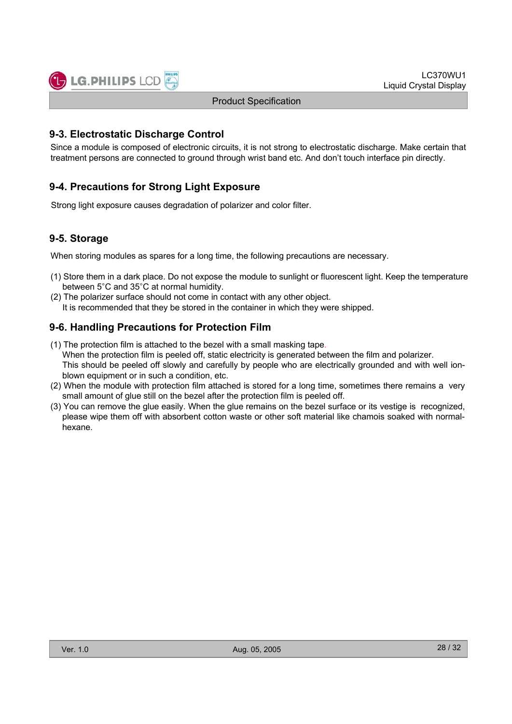![](_page_27_Picture_0.jpeg)

### **9-3. Electrostatic Discharge Control**

Since a module is composed of electronic circuits, it is not strong to electrostatic discharge. Make certain that treatment persons are connected to ground through wrist band etc. And don't touch interface pin directly.

### **9-4. Precautions for Strong Light Exposure**

Strong light exposure causes degradation of polarizer and color filter.

### **9-5. Storage**

When storing modules as spares for a long time, the following precautions are necessary.

- (1) Store them in a dark place. Do not expose the module to sunlight or fluorescent light. Keep the temperature between 5°C and 35°C at normal humidity.
- (2) The polarizer surface should not come in contact with any other object. It is recommended that they be stored in the container in which they were shipped.

### **9-6. Handling Precautions for Protection Film**

- (1) The protection film is attached to the bezel with a small masking tape. When the protection film is peeled off, static electricity is generated between the film and polarizer. This should be peeled off slowly and carefully by people who are electrically grounded and with well ionblown equipment or in such a condition, etc.
- (2) When the module with protection film attached is stored for a long time, sometimes there remains a very small amount of glue still on the bezel after the protection film is peeled off.
- (3) You can remove the glue easily. When the glue remains on the bezel surface or its vestige is recognized, please wipe them off with absorbent cotton waste or other soft material like chamois soaked with normalhexane.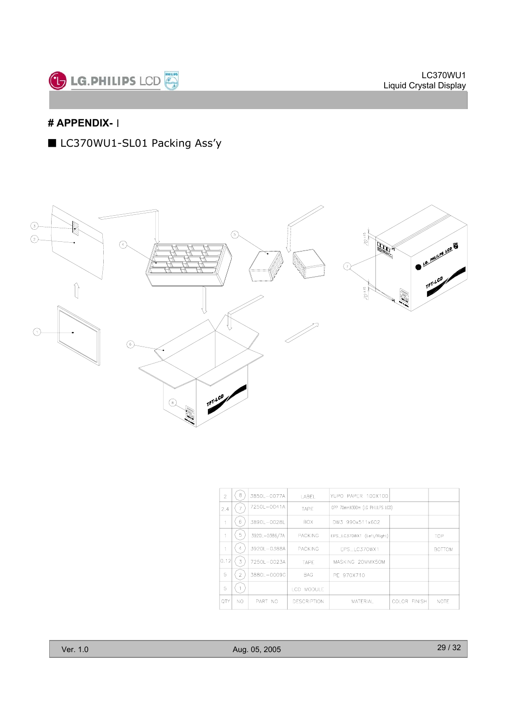![](_page_28_Picture_0.jpeg)

# **# APPENDIX-**่

■ LC370WU1-SL01 Packing Ass'y

![](_page_28_Figure_4.jpeg)

| $\overline{2}$ | 8              | 3850L-0077A   | LABEL                 | YUPO PAPER 100X100        |                                 |               |
|----------------|----------------|---------------|-----------------------|---------------------------|---------------------------------|---------------|
| 2.4            |                | 7250L-0041A   | TAPE                  |                           | OPP 70mmX300m (LG PHILILPS LCD) |               |
|                | 6              | 3890L-0028L   | BOX.                  | DW3 990x511x602           |                                 |               |
|                | 5              | 3920L-0386/7A | <b>PACKING</b>        | EPS_LC370WX1 (Left/Right) |                                 | TOP           |
| 1              | 4              | 3920L-0388A   | <b>PACKING</b>        | EPS_LC370WX1              |                                 | <b>BOTTOM</b> |
| lo 12l         | 3              | 7250L-0023A   | TAPE                  | MASKING 20MMX50M          |                                 |               |
| 5              | $\overline{2}$ | 3880L-0009G   | <b>BAG</b>            | PE 970X710                |                                 |               |
| 5              |                |               | <b>MODULE</b><br>LCD. |                           |                                 |               |
| OTY            | NO.            | PART NO       | <b>DESCRIPTION</b>    | MATERIAL                  | COLOR FINISH                    | NOTE          |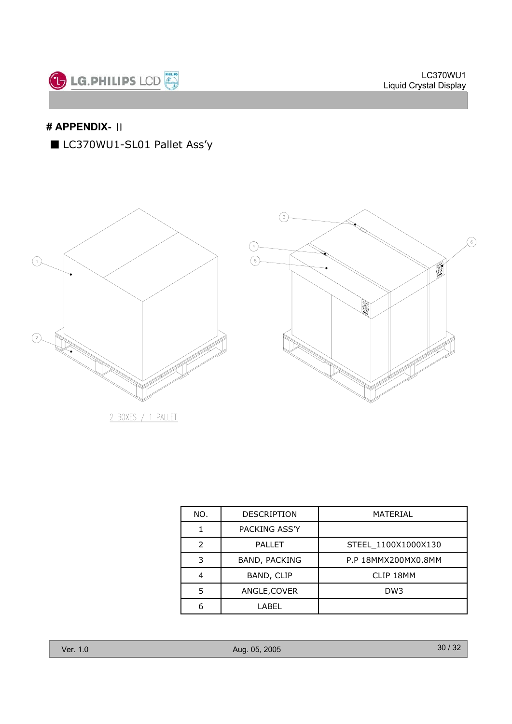![](_page_29_Picture_0.jpeg)

# **# APPENDIX-** ้

■ LC370WU1-SL01 Pallet Ass'y

![](_page_29_Figure_4.jpeg)

| NO.           | <b>DESCRIPTION</b>   | MATERIAL            |
|---------------|----------------------|---------------------|
|               | PACKING ASS'Y        |                     |
| $\mathcal{P}$ | <b>PALLET</b>        | STEEL 1100X1000X130 |
| 3             | <b>BAND, PACKING</b> | P.P 18MMX200MX0.8MM |
|               | BAND, CLIP           | CLIP 18MM           |
| 5             | ANGLE, COVER         | DW <sub>3</sub>     |
| 6             | I ABFI               |                     |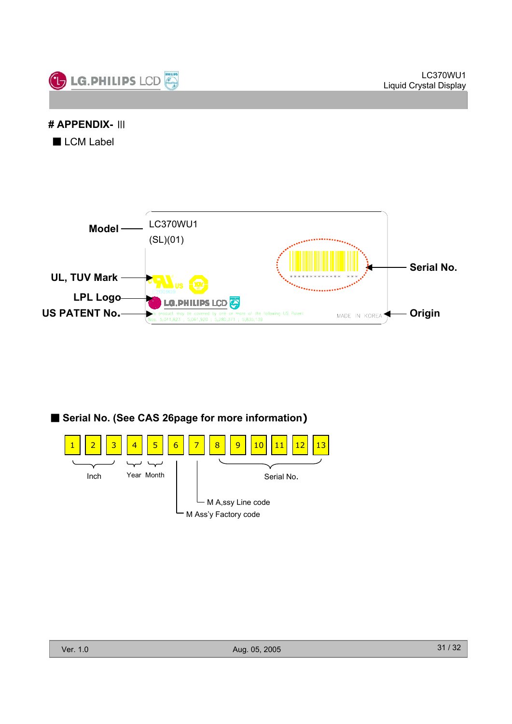![](_page_30_Picture_1.jpeg)

# **# APPENDIX-** ๊

 $\blacksquare$  LCM Label

![](_page_30_Figure_4.jpeg)

![](_page_30_Figure_5.jpeg)